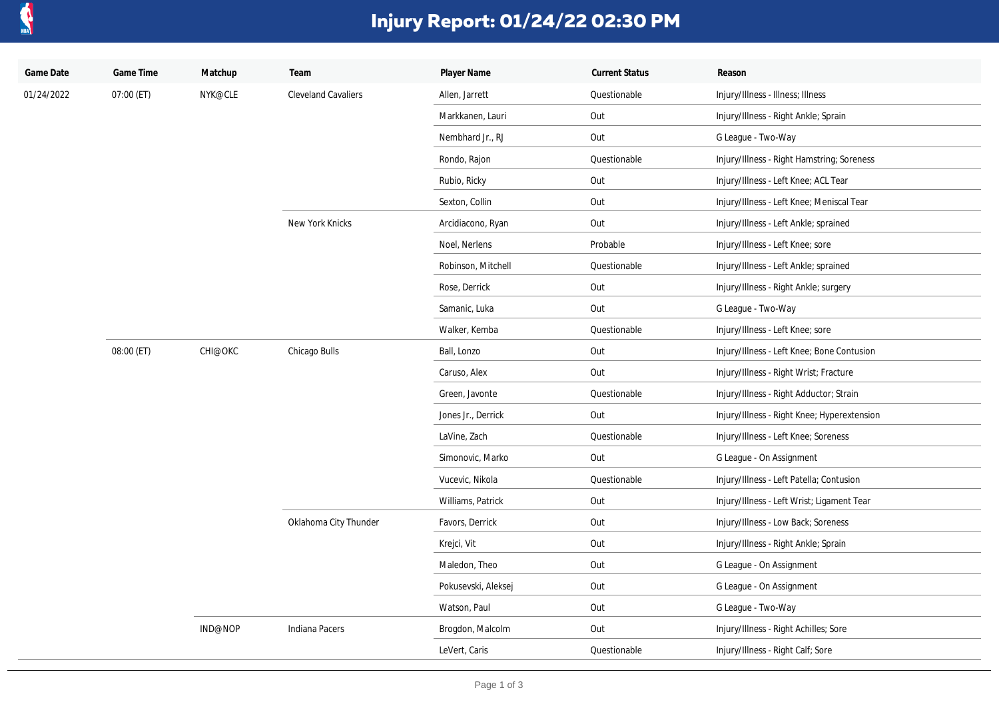

## **Injury Report: 01/24/22 02:30 PM**

| Game Date  | Game Time  | Matchup | Team                       | Player Name         | <b>Current Status</b> | Reason                                      |
|------------|------------|---------|----------------------------|---------------------|-----------------------|---------------------------------------------|
| 01/24/2022 | 07:00 (ET) | NYK@CLE | <b>Cleveland Cavaliers</b> | Allen, Jarrett      | Questionable          | Injury/Illness - Illness; Illness           |
|            |            |         |                            | Markkanen, Lauri    | Out                   | Injury/Illness - Right Ankle; Sprain        |
|            |            |         |                            | Nembhard Jr., RJ    | Out                   | G League - Two-Way                          |
|            |            |         |                            | Rondo, Rajon        | Questionable          | Injury/Illness - Right Hamstring; Soreness  |
|            |            |         |                            | Rubio, Ricky        | Out                   | Injury/Illness - Left Knee; ACL Tear        |
|            |            |         |                            | Sexton, Collin      | Out                   | Injury/Illness - Left Knee; Meniscal Tear   |
|            |            |         | New York Knicks            | Arcidiacono, Ryan   | Out                   | Injury/Illness - Left Ankle; sprained       |
|            |            |         |                            | Noel, Nerlens       | Probable              | Injury/Illness - Left Knee; sore            |
|            |            |         |                            | Robinson, Mitchell  | Questionable          | Injury/Illness - Left Ankle; sprained       |
|            |            |         |                            | Rose, Derrick       | Out                   | Injury/Illness - Right Ankle; surgery       |
|            |            |         |                            | Samanic, Luka       | Out                   | G League - Two-Way                          |
|            |            |         |                            | Walker, Kemba       | Questionable          | Injury/Illness - Left Knee; sore            |
|            | 08:00 (ET) | CHI@OKC | Chicago Bulls              | Ball, Lonzo         | Out                   | Injury/Illness - Left Knee; Bone Contusion  |
|            |            |         |                            | Caruso, Alex        | Out                   | Injury/Illness - Right Wrist; Fracture      |
|            |            |         |                            | Green, Javonte      | Questionable          | Injury/Illness - Right Adductor; Strain     |
|            |            |         |                            | Jones Jr., Derrick  | Out                   | Injury/Illness - Right Knee; Hyperextension |
|            |            |         |                            | LaVine, Zach        | Questionable          | Injury/Illness - Left Knee; Soreness        |
|            |            |         |                            | Simonovic, Marko    | Out                   | G League - On Assignment                    |
|            |            |         |                            | Vucevic, Nikola     | Questionable          | Injury/Illness - Left Patella; Contusion    |
|            |            |         |                            | Williams, Patrick   | Out                   | Injury/Illness - Left Wrist; Ligament Tear  |
|            |            |         | Oklahoma City Thunder      | Favors, Derrick     | Out                   | Injury/Illness - Low Back; Soreness         |
|            |            |         |                            | Krejci, Vit         | Out                   | Injury/Illness - Right Ankle; Sprain        |
|            |            |         |                            | Maledon, Theo       | Out                   | G League - On Assignment                    |
|            |            |         |                            | Pokusevski, Aleksej | Out                   | G League - On Assignment                    |
|            |            |         |                            | Watson, Paul        | Out                   | G League - Two-Way                          |
|            |            | IND@NOP | Indiana Pacers             | Brogdon, Malcolm    | Out                   | Injury/Illness - Right Achilles; Sore       |
|            |            |         |                            | LeVert, Caris       | Questionable          | Injury/Illness - Right Calf; Sore           |
|            |            |         |                            |                     |                       |                                             |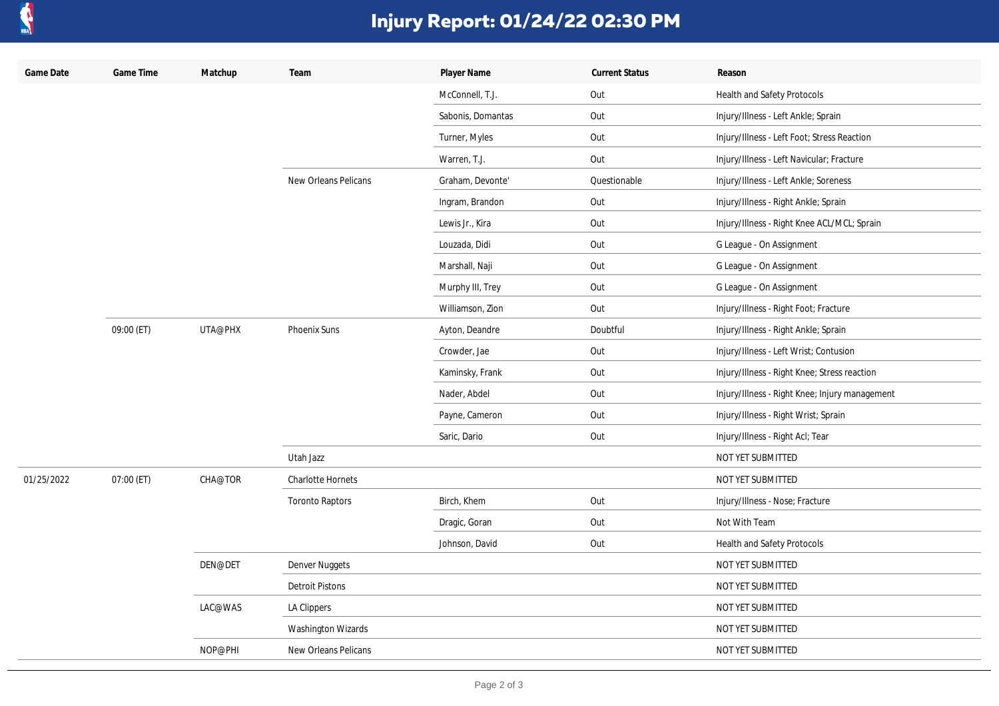

## **Injury Report: 01/24/22 02:30 PM**

| Game Date  | Game Time  | Matchup | Team                     | Player Name       | <b>Current Status</b> | Reason                                         |
|------------|------------|---------|--------------------------|-------------------|-----------------------|------------------------------------------------|
|            |            |         |                          | McConnell, T.J.   | Out                   | Health and Safety Protocols                    |
|            |            |         |                          | Sabonis, Domantas | Out                   | Injury/Illness - Left Ankle; Sprain            |
|            |            |         |                          | Turner, Myles     | Out                   | Injury/Illness - Left Foot; Stress Reaction    |
|            |            |         |                          | Warren, T.J.      | Out                   | Injury/Illness - Left Navicular; Fracture      |
|            |            |         | New Orleans Pelicans     | Graham, Devonte'  | Questionable          | Injury/Illness - Left Ankle; Soreness          |
|            |            |         |                          | Ingram, Brandon   | Out                   | Injury/Illness - Right Ankle; Sprain           |
|            |            |         |                          | Lewis Jr., Kira   | Out                   | Injury/Illness - Right Knee ACL/MCL; Sprain    |
|            |            |         |                          | Louzada, Didi     | Out                   | G League - On Assignment                       |
|            |            |         |                          | Marshall, Naji    | Out                   | G League - On Assignment                       |
|            |            |         |                          | Murphy III, Trey  | Out                   | G League - On Assignment                       |
|            |            |         |                          | Williamson, Zion  | Out                   | Injury/Illness - Right Foot; Fracture          |
|            | 09:00 (ET) | UTA@PHX | Phoenix Suns             | Ayton, Deandre    | Doubtful              | Injury/Illness - Right Ankle; Sprain           |
|            |            |         |                          | Crowder, Jae      | Out                   | Injury/Illness - Left Wrist; Contusion         |
|            |            |         |                          | Kaminsky, Frank   | Out                   | Injury/Illness - Right Knee; Stress reaction   |
|            |            |         |                          | Nader, Abdel      | Out                   | Injury/Illness - Right Knee; Injury management |
|            |            |         |                          | Payne, Cameron    | Out                   | Injury/Illness - Right Wrist; Sprain           |
|            |            |         |                          | Saric, Dario      | Out                   | Injury/Illness - Right Acl; Tear               |
|            |            |         | Utah Jazz                |                   |                       | NOT YET SUBMITTED                              |
| 01/25/2022 | 07:00 (ET) | CHA@TOR | <b>Charlotte Hornets</b> |                   |                       | NOT YET SUBMITTED                              |
|            |            |         | <b>Toronto Raptors</b>   | Birch, Khem       | Out                   | Injury/Illness - Nose; Fracture                |
|            |            |         |                          | Dragic, Goran     | Out                   | Not With Team                                  |
|            |            |         |                          | Johnson, David    | Out                   | Health and Safety Protocols                    |
|            |            | DEN@DET | Denver Nuggets           |                   |                       | NOT YET SUBMITTED                              |
|            |            |         | <b>Detroit Pistons</b>   |                   |                       | NOT YET SUBMITTED                              |
|            |            | LAC@WAS | LA Clippers              |                   |                       | NOT YET SUBMITTED                              |
|            |            |         | Washington Wizards       |                   |                       | NOT YET SUBMITTED                              |
|            |            | NOP@PHI | New Orleans Pelicans     |                   |                       | NOT YET SUBMITTED                              |
|            |            |         |                          |                   |                       |                                                |